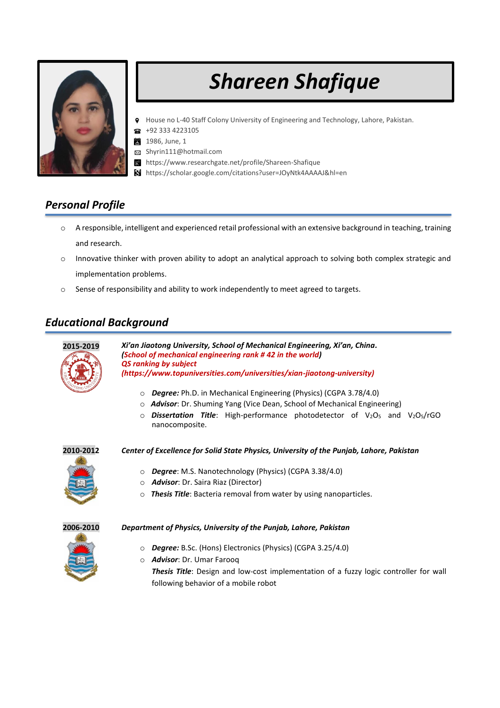

# *Shareen Shafique*

- House no L-40 Staff Colony University of Engineering and Technology, Lahore, Pakistan.
- +92 333 4223105 常
- 1986, June, 1 簠
- $\boxtimes$ Shyrin111@hotmail.com
- $R<sup>c</sup>$ https://www.researchgate.net/profile/Shareen-Shafique
- https://scholar.google.com/citations?user=JOyNtk4AAAAJ&hl=en

## *Personal Profile*

- o A responsible, intelligent and experienced retail professional with an extensive background in teaching, training and research.
- o Innovative thinker with proven ability to adopt an analytical approach to solving both complex strategic and implementation problems.
- o Sense of responsibility and ability to work independently to meet agreed to targets.

# *Educational Background*



**2015-2019** *Xi'an Jiaotong University, School of Mechanical Engineering, Xi'an, China. (School of mechanical engineering rank # 42 in the world) QS ranking by subject (https://www.topuniversities.com/universities/xian-jiaotong-university)*

- o *Degree:* Ph.D. in Mechanical Engineering (Physics) (CGPA 3.78/4.0)
- o *Advisor*: Dr. Shuming Yang (Vice Dean, School of Mechanical Engineering)
- o *Dissertation Title*: High-performance photodetector of V2O<sup>5</sup> and V2O5/rGO nanocomposite.



**2010-2012** *Center of Excellence for Solid State Physics, University of the Punjab, Lahore, Pakistan*



- o *Degree*: M.S. Nanotechnology (Physics) (CGPA 3.38/4.0)
- o *Advisor*: Dr. Saira Riaz (Director)
- o *Thesis Title*: Bacteria removal from water by using nanoparticles.



- **2006-2010** *Department of Physics, University of the Punjab, Lahore, Pakistan*
	- o *Degree:* B.Sc. (Hons) Electronics (Physics) (CGPA 3.25/4.0)
	- o *Advisor*: Dr. Umar Farooq *Thesis Title*: Design and low-cost implementation of a fuzzy logic controller for wall following behavior of a mobile robot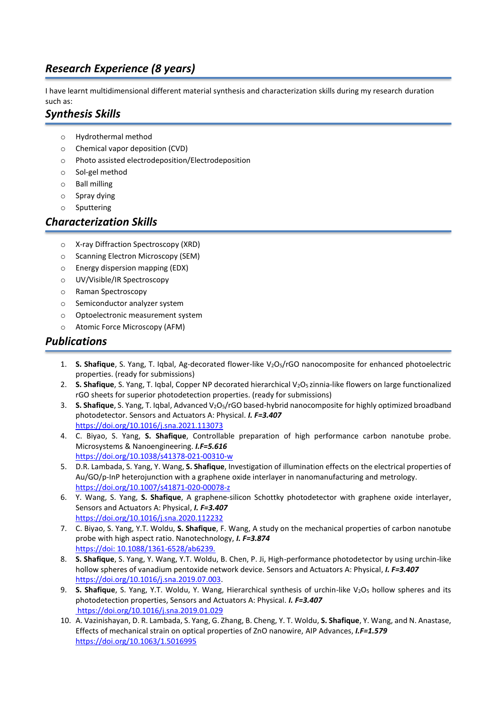# *Research Experience (8 years)*

I have learnt multidimensional different material synthesis and characterization skills during my research duration such as:

# *Synthesis Skills*

- o Hydrothermal method
- o Chemical vapor deposition (CVD)
- o Photo assisted electrodeposition/Electrodeposition
- o Sol-gel method
- o Ball milling
- o Spray dying
- o Sputtering

#### *Characterization Skills*

- o X-ray Diffraction Spectroscopy (XRD)
- o Scanning Electron Microscopy (SEM)
- o Energy dispersion mapping (EDX)
- o UV/Visible/IR Spectroscopy
- o Raman Spectroscopy
- o Semiconductor analyzer system
- o Optoelectronic measurement system
- o Atomic Force Microscopy (AFM)

#### *Publications*

- 1. **S. Shafique**, S. Yang, T. Iqbal, Ag-decorated flower-like V2O5/rGO nanocomposite for enhanced photoelectric properties. (ready for submissions)
- 2. **S. Shafique**, S. Yang, T. Igbal, Copper NP decorated hierarchical V<sub>2</sub>O<sub>5</sub> zinnia-like flowers on large functionalized rGO sheets for superior photodetection properties. (ready for submissions)
- 3. **S. Shafique**, S. Yang, T. Iqbal, Advanced V2O5/rGO based-hybrid nanocomposite for highly optimized broadband photodetector. Sensors and Actuators A: Physical. *I. F=3.407* <https://doi.org/10.1016/j.sna.2021.113073>
- 4. C. Biyao, S. Yang, **S. Shafique**, Controllable preparation of high performance carbon nanotube probe. Microsystems & Nanoengineering. *I.F=5.616* https://doi.org[/10.1038/s41378-021-00310-w](http://dx.doi.org/10.1038/s41378-021-00310-w)
- 5. D.R. Lambada, S. Yang, Y. Wang, **S. Shafique**, Investigation of illumination effects on the electrical properties of Au/GO/p-InP heterojunction with a graphene oxide interlayer in nanomanufacturing and metrology. <https://doi.org/10.1007/s41871-020-00078-z>
- 6. Y. Wang, S. Yang, **S. Shafique**, [A graphene-silicon Schottky photodetector with graphene oxide interlayer,](https://www.researchgate.net/publication/343283045_A_graphene-silicon_Schottky_photodetector_with_graphene_oxide_interlayer) Sensors and Actuators A: Physical, *I. F=3.407* <https://doi.org/10.1016/j.sna.2020.112232>
- 7. C. Biyao, S. Yang, Y.T. Woldu, **S. Shafique**, F. Wang, A study on the mechanical properties of carbon nanotube probe with high aspect ratio. Nanotechnology, *I. F=3.874* https://doi: 10.1088/1361-6528/ab6239.
- 8. **S. Shafique**, S. Yang, Y. Wang, Y.T. Woldu, B. Chen, P. Ji, High-performance photodetector by using urchin-like hollow spheres of vanadium pentoxide network device. Sensors and Actuators A: Physical, *I. F=3.407* [https://doi.org/10.1016/j.sna.2019.07.003.](https://doi.org/10.1016/j.sna.2019.07.003)
- 9. **S. Shafique**, S. Yang, Y.T. Woldu, Y. Wang, Hierarchical synthesis of urchin-like V<sub>2</sub>O<sub>5</sub> hollow spheres and its photodetection properties, Sensors and Actuators A: Physical. *I. F=3.407* <https://doi.org/10.1016/j.sna.2019.01.029>
- 10. A. Vazinishayan, D. R. Lambada, S. Yang, G. Zhang, B. Cheng, Y. T. Woldu, **S. Shafique**, Y. Wang, and N. Anastase, Effects of mechanical strain on optical properties of ZnO nanowire, AIP Advances, *I.F=1.579* <https://doi.org/10.1063/1.5016995>